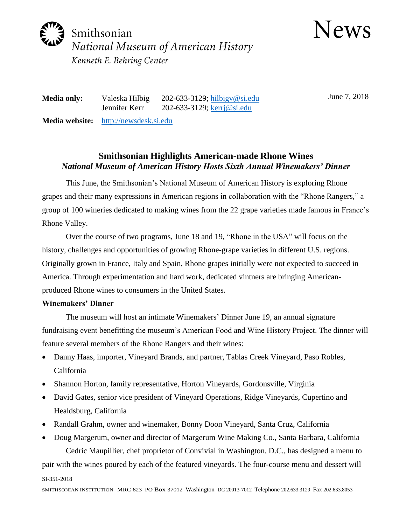

News

**Media only:** Valeska Hilbig 202-633-3129; [hilbigv@si.edu](mailto:hilbigv@si.edu) Jennifer Kerr 202-633-3129; [kerrj@si.edu](mailto:kerrj@si.edu) **Media website:** [http://newsdesk.si.edu](http://newsdesk.si.edu/)

June 7, 2018

# **Smithsonian Highlights American-made Rhone Wines** *National Museum of American History Hosts Sixth Annual Winemakers' Dinner*

This June, the Smithsonian's National Museum of American History is exploring Rhone grapes and their many expressions in American regions in collaboration with the "Rhone Rangers," a group of 100 wineries dedicated to making wines from the 22 grape varieties made famous in France's Rhone Valley.

Over the course of two programs, June 18 and 19, "Rhone in the USA" will focus on the history, challenges and opportunities of growing Rhone-grape varieties in different U.S. regions. Originally grown in France, Italy and Spain, Rhone grapes initially were not expected to succeed in America. Through experimentation and hard work, dedicated vintners are bringing Americanproduced Rhone wines to consumers in the United States.

## **Winemakers' Dinner**

The museum will host an intimate Winemakers' Dinner June 19, an annual signature fundraising event benefitting the museum's American Food and Wine History Project. The dinner will feature several members of the Rhone Rangers and their wines:

- Danny Haas, importer, Vineyard Brands, and partner, Tablas Creek Vineyard, Paso Robles, California
- Shannon Horton, family representative, Horton Vineyards, Gordonsville, Virginia
- David Gates, senior vice president of Vineyard Operations, Ridge Vineyards, Cupertino and Healdsburg, California
- Randall Grahm, owner and winemaker, Bonny Doon Vineyard, Santa Cruz, California
- Doug Margerum, owner and director of Margerum Wine Making Co., Santa Barbara, California Cedric Maupillier, chef proprietor of Convivial in Washington, D.C., has designed a menu to

pair with the wines poured by each of the featured vineyards. The four-course menu and dessert will

#### SI-351-2018

SMITHSONIAN INSTITUTION MRC 623 PO Box 37012 Washington DC 20013-7012 Telephone 202.633.3129 Fax 202.633.8053